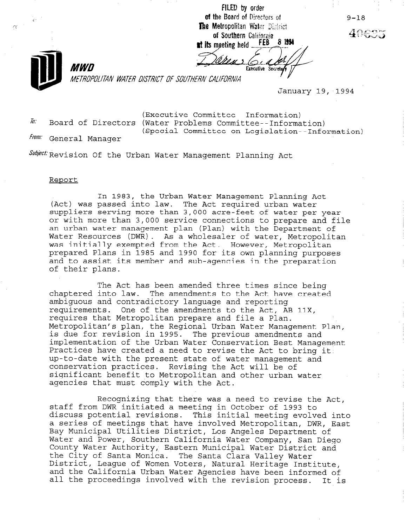FILED by order of the Board of Directors of The Metropolitan Water District of Southern California<br>at its meeting held FEB 8 1994

Executive Secrete

 $\mathcal{L}^{\mathcal{A}}_{\mathcal{A}}$ 

METROPOLITAN WATER DISTRICT OF SOUTHERN CALIFORNIA

January 19, 1994

(Executive Committee--Information)  $\bar{h}$ . Board of Directors (Water Problems Committee--Information) (Special Committee on Legislation--Information)

From: General Manager

MWD

Subject Revision Of the Urban Water Management Planning Act

## Report

In 1983, the Urban Water Management Planning Act (Act) was passed into law. The Act required urban water suppliers serving more than 3,000 acre-feet of water per year or with more than 3,000 service connections to prepare and file an urban water management plan (Plan) with the Department of Water Resources (DWR). As a wholesaler of water, Metropolitan was initially exempted from the Act. However, Metropolitan prepared Plans in 1985 and 1990 for its own planning purposes and to assist its member and sub-agencies in the preparation of their plans.

The Act has been amended three times since being chaptered into law. The amendments to the Act have created ambiguous and contradictory language and reporting requirements. One of the amendments to the Act, AB 11X, requires that Metropolitan prepare and file a Plan. Metropolitan's plan, the Regional Urban Water Management Plan, neeroporrean s pran, ene negronar orban water nanagement  $\frac{1}{2}$  and  $\frac{1}{2}$  or the Urban Managementation Best Managementation Best Management Management Managementation Best Managementation Best Managementation Best Managementation Best Managementation Best Managementation implementation of the Urban Water Conservation Best Management<br>Practices have created a need to revise the Act to bring it. up-to-date with the present state of water management and conservation practices. Revising the Act will be of significant benefit to Metropolitan and other urban water agencies that must comply with the Act.

Recognizing that there was a need to revise the Act, stated a meeting from DWR in October was a meeting to revise the staff from DWR initiated a meeting in October of 1993 to discuss potential revisions. This initial meeting evolved into a series of meetings that have involved Metropolitan, DWR, East Bay Municipal Utilities District, Los Angeles Department of Water and Power, Southern California Water Company, San Diego County Water Authority, Eastern Municipal Water District and the City of Santa Monica. The Santa Clara Valley Water District, Leaque of Women Voters, Natural Heritage Institute, and the California Urban Water Agencies have been informed of<br>all the proceedings involved with the revision process. It is

9-18